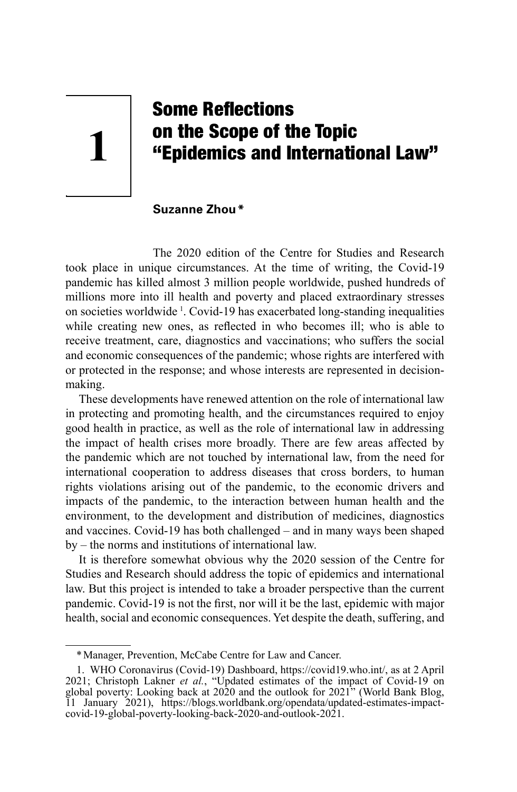# **1**

# Some Reflections on the Scope of the Topic "Epidemics and International Law"

**Suzanne Zhou\*** 

The 2020 edition of the Centre for Studies and Research took place in unique circumstances. At the time of writing, the Covid-19 pandemic has killed almost 3 million people worldwide, pushed hundreds of millions more into ill health and poverty and placed extraordinary stresses on societies worldwide <sup>1</sup> . Covid-19 has exacerbated long-standing inequalities while creating new ones, as reflected in who becomes ill; who is able to receive treatment, care, diagnostics and vaccinations; who suffers the social and economic consequences of the pandemic; whose rights are interfered with or protected in the response; and whose interests are represented in decisionmaking.

These developments have renewed attention on the role of international law in protecting and promoting health, and the circumstances required to enjoy good health in practice, as well as the role of international law in addressing the impact of health crises more broadly. There are few areas affected by the pandemic which are not touched by international law, from the need for international cooperation to address diseases that cross borders, to human rights violations arising out of the pandemic, to the economic drivers and impacts of the pandemic, to the interaction between human health and the environment, to the development and distribution of medicines, diagnostics and vaccines. Covid-19 has both challenged – and in many ways been shaped by – the norms and institutions of international law.

It is therefore somewhat obvious why the 2020 session of the Centre for Studies and Research should address the topic of epidemics and international law. But this project is intended to take a broader perspective than the current pandemic. Covid-19 is not the first, nor will it be the last, epidemic with major health, social and economic consequences. Yet despite the death, suffering, and

<sup>\*</sup>Manager, Prevention, McCabe Centre for Law and Cancer.

<sup>1.</sup> WHO Coronavirus (Covid-19) Dashboard, https://covid19.who.int/, as at 2 April 2021; Christoph Lakner *et al.*, "Updated estimates of the impact of Covid-19 on global poverty: Looking back at 2020 and the outlook for 2021" (World Bank Blog, 11 January 2021), https://blogs.worldbank.org/opendata/updated-estimates-impactcovid-19-global-poverty-looking-back-2020-and-outlook-2021.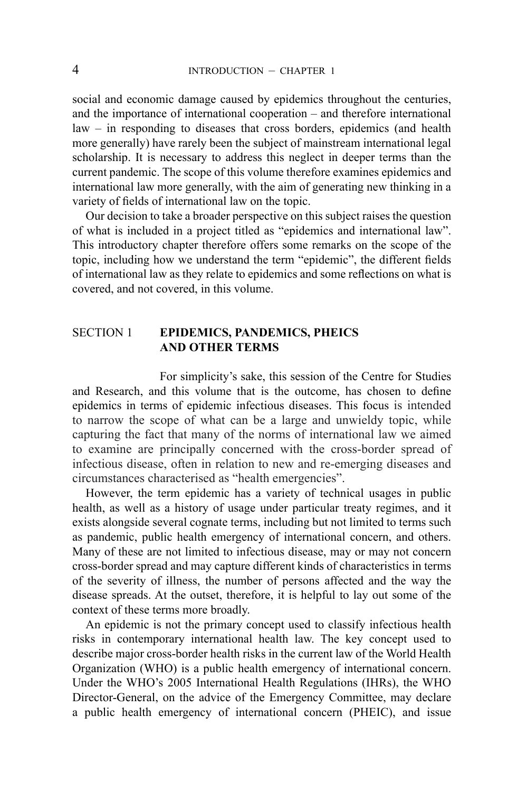social and economic damage caused by epidemics throughout the centuries, and the importance of international cooperation – and therefore international law – in responding to diseases that cross borders, epidemics (and health more generally) have rarely been the subject of mainstream international legal scholarship. It is necessary to address this neglect in deeper terms than the current pandemic. The scope of this volume therefore examines epidemics and international law more generally, with the aim of generating new thinking in a variety of fields of international law on the topic.

Our decision to take a broader perspective on this subject raises the question of what is included in a project titled as "epidemics and international law". This introductory chapter therefore offers some remarks on the scope of the topic, including how we understand the term "epidemic", the different fields of international law as they relate to epidemics and some reflections on what is covered, and not covered, in this volume.

### SECTION 1 **EPIDEMICS, PANDEMICS, PHEICS AND OTHER TERMS**

For simplicity's sake, this session of the Centre for Studies and Research, and this volume that is the outcome, has chosen to define epidemics in terms of epidemic infectious diseases. This focus is intended to narrow the scope of what can be a large and unwieldy topic, while capturing the fact that many of the norms of international law we aimed to examine are principally concerned with the cross-border spread of infectious disease, often in relation to new and re-emerging diseases and circumstances characterised as "health emergencies".

However, the term epidemic has a variety of technical usages in public health, as well as a history of usage under particular treaty regimes, and it exists alongside several cognate terms, including but not limited to terms such as pandemic, public health emergency of international concern, and others. Many of these are not limited to infectious disease, may or may not concern cross-border spread and may capture different kinds of characteristics in terms of the severity of illness, the number of persons affected and the way the disease spreads. At the outset, therefore, it is helpful to lay out some of the context of these terms more broadly.

An epidemic is not the primary concept used to classify infectious health risks in contemporary international health law. The key concept used to describe major cross-border health risks in the current law of the World Health Organization (WHO) is a public health emergency of international concern. Under the WHO's 2005 International Health Regulations (IHRs), the WHO Director-General, on the advice of the Emergency Committee, may declare a public health emergency of international concern (PHEIC), and issue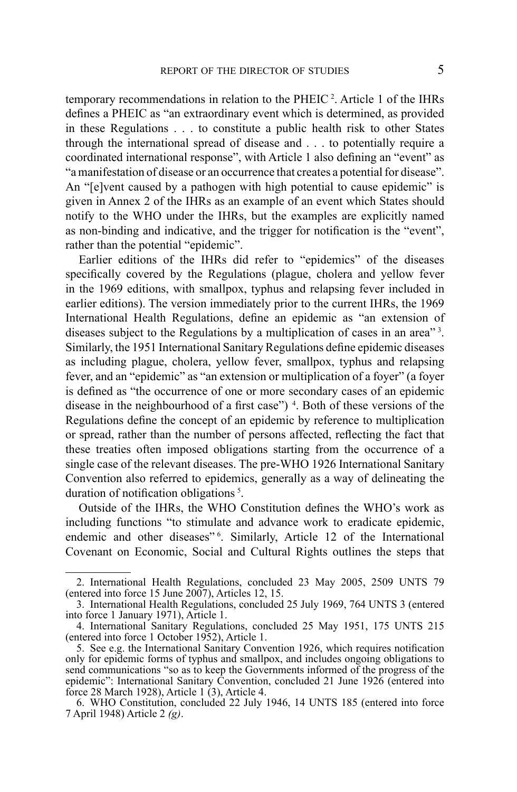temporary recommendations in relation to the  $PHEIC<sup>2</sup>$ . Article 1 of the IHRs defines a PHEIC as "an extraordinary event which is determined, as provided in these Regulations . . . to constitute a public health risk to other States through the international spread of disease and . . . to potentially require a coordinated international response", with Article 1 also defining an "event" as "a manifestation of disease or an occurrence that creates a potential for disease". An "[e]vent caused by a pathogen with high potential to cause epidemic" is given in Annex 2 of the IHRs as an example of an event which States should notify to the WHO under the IHRs, but the examples are explicitly named as non-binding and indicative, and the trigger for notification is the "event", rather than the potential "epidemic".

Earlier editions of the IHRs did refer to "epidemics" of the diseases specifically covered by the Regulations (plague, cholera and yellow fever in the 1969 editions, with smallpox, typhus and relapsing fever included in earlier editions). The version immediately prior to the current IHRs, the 1969 International Health Regulations, define an epidemic as "an extension of diseases subject to the Regulations by a multiplication of cases in an area<sup>"3</sup>. Similarly, the 1951 International Sanitary Regulations define epidemic diseases as including plague, cholera, yellow fever, smallpox, typhus and relapsing fever, and an "epidemic" as "an extension or multiplication of a foyer" (a foyer is defined as "the occurrence of one or more secondary cases of an epidemic disease in the neighbourhood of a first case" $)$ <sup>4</sup>. Both of these versions of the Regulations define the concept of an epidemic by reference to multiplication or spread, rather than the number of persons affected, reflecting the fact that these treaties often imposed obligations starting from the occurrence of a single case of the relevant diseases. The pre-WHO 1926 International Sanitary Convention also referred to epidemics, generally as a way of delineating the duration of notification obligations<sup>5</sup>.

Outside of the IHRs, the WHO Constitution defines the WHO's work as including functions "to stimulate and advance work to eradicate epidemic, endemic and other diseases<sup>"6</sup>. Similarly, Article 12 of the International Covenant on Economic, Social and Cultural Rights outlines the steps that

<sup>2.</sup> International Health Regulations, concluded 23 May 2005, 2509 UNTS 79 (entered into force 15 June 2007), Articles 12, 15.

<sup>3.</sup> International Health Regulations, concluded 25 July 1969, 764 UNTS 3 (entered into force 1 January 1971), Article 1.

<sup>4.</sup> International Sanitary Regulations, concluded 25 May 1951, 175 UNTS 215 (entered into force 1 October 1952), Article 1.

<sup>5.</sup> See e.g. the International Sanitary Convention 1926, which requires notification only for epidemic forms of typhus and smallpox, and includes ongoing obligations to send communications "so as to keep the Governments informed of the progress of the epidemic": International Sanitary Convention, concluded 21 June 1926 (entered into force 28 March 1928), Article 1  $(3)$ , Article 4.

<sup>6.</sup> WHO Constitution, concluded 22 July 1946, 14 UNTS 185 (entered into force 7 April 1948) Article 2 *(g)*.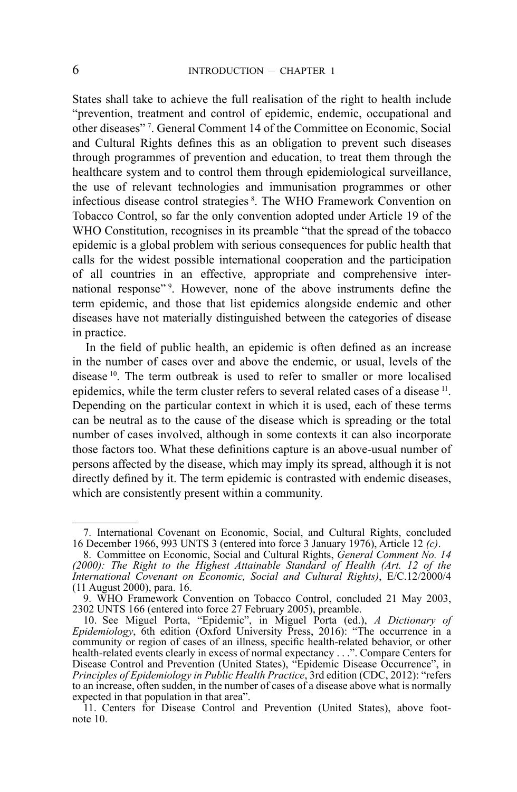States shall take to achieve the full realisation of the right to health include "prevention, treatment and control of epidemic, endemic, occupational and other diseases" <sup>7</sup> . General Comment 14 of the Committee on Economic, Social and Cultural Rights defines this as an obligation to prevent such diseases through programmes of prevention and education, to treat them through the healthcare system and to control them through epidemiological surveillance, the use of relevant technologies and immunisation programmes or other infectious disease control strategies <sup>8</sup> . The WHO Framework Convention on Tobacco Control, so far the only convention adopted under Article 19 of the WHO Constitution, recognises in its preamble "that the spread of the tobacco" epidemic is a global problem with serious consequences for public health that calls for the widest possible international cooperation and the participation of all countries in an effective, appropriate and comprehensive international response"<sup>9</sup>. However, none of the above instruments define the term epidemic, and those that list epidemics alongside endemic and other diseases have not materially distinguished between the categories of disease in practice.

In the field of public health, an epidemic is often defined as an increase in the number of cases over and above the endemic, or usual, levels of the disease 10. The term outbreak is used to refer to smaller or more localised epidemics, while the term cluster refers to several related cases of a disease <sup>11</sup>. Depending on the particular context in which it is used, each of these terms can be neutral as to the cause of the disease which is spreading or the total number of cases involved, although in some contexts it can also incorporate those factors too. What these definitions capture is an above-usual number of persons affected by the disease, which may imply its spread, although it is not directly defined by it. The term epidemic is contrasted with endemic diseases, which are consistently present within a community.

<sup>7.</sup> International Covenant on Economic, Social, and Cultural Rights, concluded 16 December 1966, 993 UNTS 3 (entered into force 3 January 1976), Article 12 *(c)*.

<sup>8.</sup> Committee on Economic, Social and Cultural Rights, *General Comment No. 14 (2000): The Right to the Highest Attainable Standard of Health (Art. 12 of the International Covenant on Economic, Social and Cultural Rights)*, E/C.12/2000/4 (11 August 2000), para. 16.

<sup>9.</sup> WHO Framework Convention on Tobacco Control, concluded 21 May 2003, 2302 UNTS 166 (entered into force 27 February 2005), preamble.

<sup>10.</sup> See Miguel Porta, "Epidemic", in Miguel Porta (ed.), *A Dictionary of Epidemiology*, 6th edition (Oxford University Press, 2016): "The occurrence in a community or region of cases of an illness, specific health-related behavior, or other health-related events clearly in excess of normal expectancy . . .". Compare Centers for Disease Control and Prevention (United States), "Epidemic Disease Occurrence", in *Principles of Epidemiology in Public Health Practice*, 3rd edition (CDC, 2012): "refers to an increase, often sudden, in the number of cases of a disease above what is normally expected in that population in that area".

<sup>11.</sup> Centers for Disease Control and Prevention (United States), above footnote 10.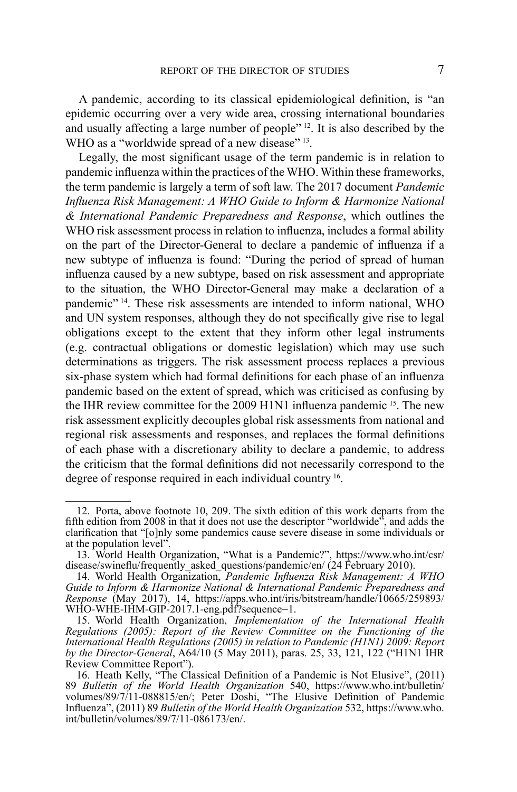A pandemic, according to its classical epidemiological definition, is "an epidemic occurring over a very wide area, crossing international boundaries and usually affecting a large number of people" <sup>12</sup>. It is also described by the WHO as a "worldwide spread of a new disease" <sup>13</sup>.

Legally, the most significant usage of the term pandemic is in relation to pandemic influenza within the practices of the WHO. Within these frameworks, the term pandemic is largely a term of soft law. The 2017 document *Pandemic Influenza Risk Management: A WHO Guide to Inform & Harmonize National & International Pandemic Preparedness and Response*, which outlines the WHO risk assessment process in relation to influenza, includes a formal ability on the part of the Director-General to declare a pandemic of influenza if a new subtype of influenza is found: "During the period of spread of human influenza caused by a new subtype, based on risk assessment and appropriate to the situation, the WHO Director-General may make a declaration of a pandemic" 14. These risk assessments are intended to inform national, WHO and UN system responses, although they do not specifically give rise to legal obligations except to the extent that they inform other legal instruments (e.g. contractual obligations or domestic legislation) which may use such determinations as triggers. The risk assessment process replaces a previous six-phase system which had formal definitions for each phase of an influenza pandemic based on the extent of spread, which was criticised as confusing by the IHR review committee for the 2009 H1N1 influenza pandemic 15. The new risk assessment explicitly decouples global risk assessments from national and regional risk assessments and responses, and replaces the formal definitions of each phase with a discretionary ability to declare a pandemic, to address the criticism that the formal definitions did not necessarily correspond to the degree of response required in each individual country 16.

<sup>12.</sup> Porta, above footnote 10, 209. The sixth edition of this work departs from the fifth edition from 2008 in that it does not use the descriptor "worldwide", and adds the clarification that "[o]nly some pandemics cause severe disease in some individuals or at the population level".

<sup>13.</sup> World Health Organization, "What is a Pandemic?", https://www.who.int/csr/ disease/swineflu/frequently\_asked\_questions/pandemic/en/ (24 February 2010).

<sup>14.</sup> World Health Organization, *Pandemic Influenza Risk Management: A WHO Guide to Inform & Harmonize National & International Pandemic Preparedness and Response* (May 2017), 14, https://apps.who.int/iris/bitstream/handle/10665/259893/ WHO-WHE-IHM-GIP-2017.1-eng.pdf?sequence=1.

<sup>15.</sup> World Health Organization, *Implementation of the International Health Regulations (2005): Report of the Review Committee on the Functioning of the International Health Regulations (2005) in relation to Pandemic (H1N1) 2009: Report by the Director-General*, A64/10 (5 May 2011), paras. 25, 33, 121, 122 ("H1N1 IHR Review Committee Report").

<sup>16.</sup> Heath Kelly, "The Classical Definition of a Pandemic is Not Elusive", (2011) 89 *Bulletin of the World Health Organization* 540, https://www.who.int/bulletin/ volumes/89/7/11-088815/en/; Peter Doshi, "The Elusive Definition of Pandemic Influenza", (2011) 89 *Bulletin of the World Health Organization* 532, https://www.who. int/bulletin/volumes/89/7/11-086173/en/.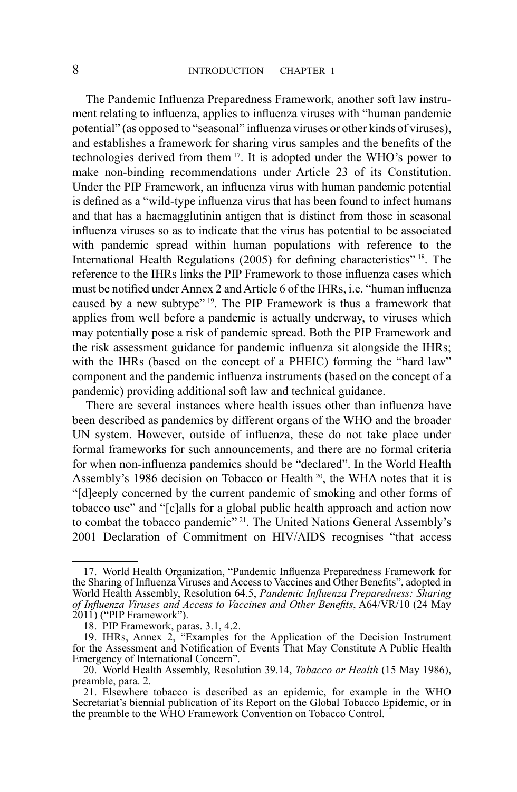The Pandemic Influenza Preparedness Framework, another soft law instrument relating to influenza, applies to influenza viruses with "human pandemic potential" (as opposed to "seasonal" influenza viruses or other kinds of viruses), and establishes a framework for sharing virus samples and the benefits of the technologies derived from them 17. It is adopted under the WHO's power to make non-binding recommendations under Article 23 of its Constitution. Under the PIP Framework, an influenza virus with human pandemic potential is defined as a "wild-type influenza virus that has been found to infect humans and that has a haemagglutinin antigen that is distinct from those in seasonal influenza viruses so as to indicate that the virus has potential to be associated with pandemic spread within human populations with reference to the International Health Regulations (2005) for defining characteristics" 18. The reference to the IHRs links the PIP Framework to those influenza cases which must be notified under Annex 2 and Article 6 of the IHRs, i.e. "human influenza caused by a new subtype" 19. The PIP Framework is thus a framework that applies from well before a pandemic is actually underway, to viruses which may potentially pose a risk of pandemic spread. Both the PIP Framework and the risk assessment guidance for pandemic influenza sit alongside the IHRs; with the IHRs (based on the concept of a PHEIC) forming the "hard law" component and the pandemic influenza instruments (based on the concept of a pandemic) providing additional soft law and technical guidance.

There are several instances where health issues other than influenza have been described as pandemics by different organs of the WHO and the broader UN system. However, outside of influenza, these do not take place under formal frameworks for such announcements, and there are no formal criteria for when non-influenza pandemics should be "declared". In the World Health Assembly's 1986 decision on Tobacco or Health<sup>20</sup>, the WHA notes that it is "[d]eeply concerned by the current pandemic of smoking and other forms of tobacco use" and "[c]alls for a global public health approach and action now to combat the tobacco pandemic" 21. The United Nations General Assembly's 2001 Declaration of Commitment on HIV/AIDS recognises "that access

<sup>17.</sup> World Health Organization, "Pandemic Influenza Preparedness Framework for the Sharing of Influenza Viruses and Access to Vaccines and Other Benefits", adopted in World Health Assembly, Resolution 64.5, *Pandemic Influenza Preparedness: Sharing of Influenza Viruses and Access to Vaccines and Other Benefits*, A64/VR/10 (24 May 2011) ("PIP Framework").

<sup>18.</sup> PIP Framework, paras. 3.1, 4.2.

<sup>19.</sup> IHRs, Annex 2, "Examples for the Application of the Decision Instrument for the Assessment and Notification of Events That May Constitute A Public Health Emergency of International Concern".

<sup>20.</sup> World Health Assembly, Resolution 39.14, *Tobacco or Health* (15 May 1986), preamble, para. 2.

<sup>21.</sup> Elsewhere tobacco is described as an epidemic, for example in the WHO Secretariat's biennial publication of its Report on the Global Tobacco Epidemic, or in the preamble to the WHO Framework Convention on Tobacco Control.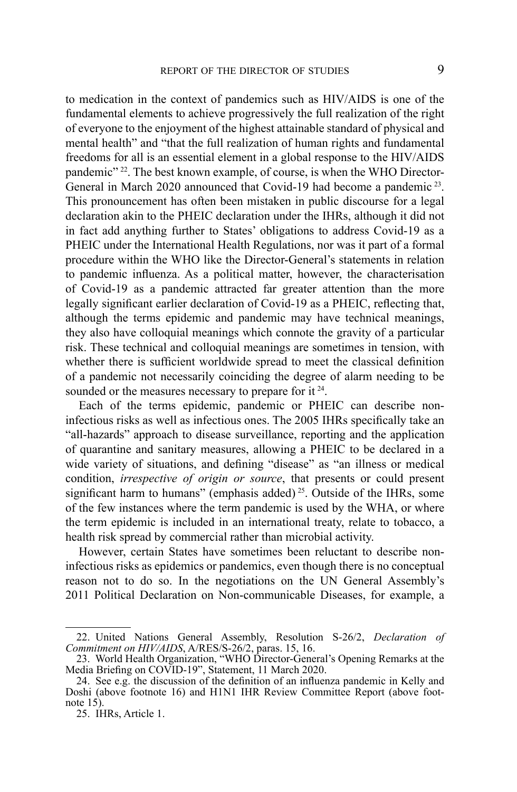to medication in the context of pandemics such as HIV/AIDS is one of the fundamental elements to achieve progressively the full realization of the right of everyone to the enjoyment of the highest attainable standard of physical and mental health" and "that the full realization of human rights and fundamental freedoms for all is an essential element in a global response to the HIV/AIDS pandemic" 22. The best known example, of course, is when the WHO Director-General in March 2020 announced that Covid-19 had become a pandemic <sup>23</sup>. This pronouncement has often been mistaken in public discourse for a legal declaration akin to the PHEIC declaration under the IHRs, although it did not in fact add anything further to States' obligations to address Covid-19 as a PHEIC under the International Health Regulations, nor was it part of a formal procedure within the WHO like the Director-General's statements in relation to pandemic influenza. As a political matter, however, the characterisation of Covid-19 as a pandemic attracted far greater attention than the more legally significant earlier declaration of Covid-19 as a PHEIC, reflecting that, although the terms epidemic and pandemic may have technical meanings, they also have colloquial meanings which connote the gravity of a particular risk. These technical and colloquial meanings are sometimes in tension, with whether there is sufficient worldwide spread to meet the classical definition of a pandemic not necessarily coinciding the degree of alarm needing to be sounded or the measures necessary to prepare for it <sup>24</sup>.

Each of the terms epidemic, pandemic or PHEIC can describe noninfectious risks as well as infectious ones. The 2005 IHRs specifically take an "all-hazards" approach to disease surveillance, reporting and the application of quarantine and sanitary measures, allowing a PHEIC to be declared in a wide variety of situations, and defining "disease" as "an illness or medical condition, *irrespective of origin or source*, that presents or could present significant harm to humans" (emphasis added)<sup>25</sup>. Outside of the IHRs, some of the few instances where the term pandemic is used by the WHA, or where the term epidemic is included in an international treaty, relate to tobacco, a health risk spread by commercial rather than microbial activity.

However, certain States have sometimes been reluctant to describe noninfectious risks as epidemics or pandemics, even though there is no conceptual reason not to do so. In the negotiations on the UN General Assembly's 2011 Political Declaration on Non-communicable Diseases, for example, a

<sup>22.</sup> United Nations General Assembly, Resolution S-26/2, *Declaration of Commitment on HIV/AIDS*, A/RES/S-26/2, paras. 15, 16.

<sup>23.</sup> World Health Organization, "WHO Director-General's Opening Remarks at the Media Briefing on COVID-19", Statement, 11 March 2020.

<sup>24.</sup> See e.g. the discussion of the definition of an influenza pandemic in Kelly and Doshi (above footnote 16) and H1N1 IHR Review Committee Report (above footnote 15).

<sup>25.</sup> IHRs, Article 1.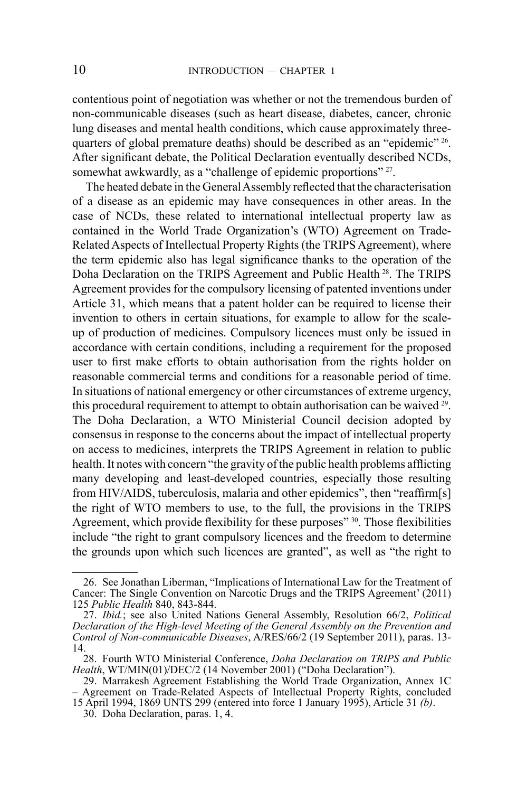contentious point of negotiation was whether or not the tremendous burden of non-communicable diseases (such as heart disease, diabetes, cancer, chronic lung diseases and mental health conditions, which cause approximately threequarters of global premature deaths) should be described as an "epidemic" <sup>26</sup>. After significant debate, the Political Declaration eventually described NCDs, somewhat awkwardly, as a "challenge of epidemic proportions" <sup>27</sup>.

The heated debate in the General Assembly reflected that the characterisation of a disease as an epidemic may have consequences in other areas. In the case of NCDs, these related to international intellectual property law as contained in the World Trade Organization's (WTO) Agreement on Trade-Related Aspects of Intellectual Property Rights (the TRIPS Agreement), where the term epidemic also has legal significance thanks to the operation of the Doha Declaration on the TRIPS Agreement and Public Health 28. The TRIPS Agreement provides for the compulsory licensing of patented inventions under Article 31, which means that a patent holder can be required to license their invention to others in certain situations, for example to allow for the scaleup of production of medicines. Compulsory licences must only be issued in accordance with certain conditions, including a requirement for the proposed user to first make efforts to obtain authorisation from the rights holder on reasonable commercial terms and conditions for a reasonable period of time. In situations of national emergency or other circumstances of extreme urgency, this procedural requirement to attempt to obtain authorisation can be waived <sup>29</sup>. The Doha Declaration, a WTO Ministerial Council decision adopted by consensus in response to the concerns about the impact of intellectual property on access to medicines, interprets the TRIPS Agreement in relation to public health. It notes with concern "the gravity of the public health problems afflicting many developing and least-developed countries, especially those resulting from HIV/AIDS, tuberculosis, malaria and other epidemics", then "reaffirm[s] the right of WTO members to use, to the full, the provisions in the TRIPS Agreement, which provide flexibility for these purposes<sup>" 30</sup>. Those flexibilities include "the right to grant compulsory licences and the freedom to determine the grounds upon which such licences are granted", as well as "the right to

<sup>26.</sup> See Jonathan Liberman, "Implications of International Law for the Treatment of Cancer: The Single Convention on Narcotic Drugs and the TRIPS Agreement' (2011) 125 *Public Health* 840, 843-844.

<sup>27.</sup> *Ibid.*; see also United Nations General Assembly, Resolution 66/2, *Political Declaration of the High-level Meeting of the General Assembly on the Prevention and Control of Non-communicable Diseases*, A/RES/66/2 (19 September 2011), paras. 13- 14.

<sup>28.</sup> Fourth WTO Ministerial Conference, *Doha Declaration on TRIPS and Public Health*, WT/MIN(01)/DEC/2 (14 November 2001) ("Doha Declaration").

<sup>29.</sup> Marrakesh Agreement Establishing the World Trade Organization, Annex 1C – Agreement on Trade-Related Aspects of Intellectual Property Rights, concluded 15 April 1994, 1869 UNTS 299 (entered into force 1 January 1995), Article 31 *(b)*. 30. Doha Declaration, paras. 1, 4.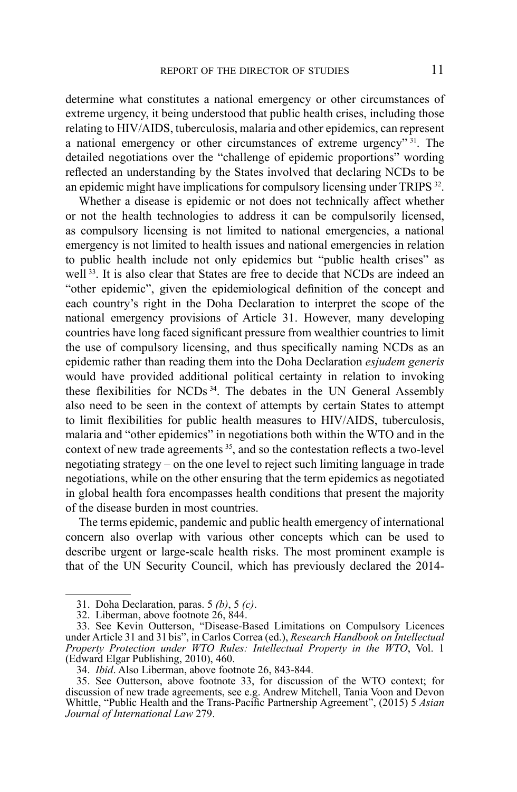determine what constitutes a national emergency or other circumstances of extreme urgency, it being understood that public health crises, including those relating to HIV/AIDS, tuberculosis, malaria and other epidemics, can represent a national emergency or other circumstances of extreme urgency"  $31$ . The detailed negotiations over the "challenge of epidemic proportions" wording reflected an understanding by the States involved that declaring NCDs to be an epidemic might have implications for compulsory licensing under TRIPS <sup>32</sup>.

Whether a disease is epidemic or not does not technically affect whether or not the health technologies to address it can be compulsorily licensed, as compulsory licensing is not limited to national emergencies, a national emergency is not limited to health issues and national emergencies in relation to public health include not only epidemics but "public health crises" as well <sup>33</sup>. It is also clear that States are free to decide that NCDs are indeed an "other epidemic", given the epidemiological definition of the concept and each country's right in the Doha Declaration to interpret the scope of the national emergency provisions of Article 31. However, many developing countries have long faced significant pressure from wealthier countries to limit the use of compulsory licensing, and thus specifically naming NCDs as an epidemic rather than reading them into the Doha Declaration *esjudem generis*  would have provided additional political certainty in relation to invoking these flexibilities for NCDs 34. The debates in the UN General Assembly also need to be seen in the context of attempts by certain States to attempt to limit flexibilities for public health measures to HIV/AIDS, tuberculosis, malaria and "other epidemics" in negotiations both within the WTO and in the context of new trade agreements <sup>35</sup>, and so the contestation reflects a two-level negotiating strategy – on the one level to reject such limiting language in trade negotiations, while on the other ensuring that the term epidemics as negotiated in global health fora encompasses health conditions that present the majority of the disease burden in most countries.

The terms epidemic, pandemic and public health emergency of international concern also overlap with various other concepts which can be used to describe urgent or large-scale health risks. The most prominent example is that of the UN Security Council, which has previously declared the 2014-

<sup>31.</sup> Doha Declaration, paras. 5 *(b)*, 5 *(c)*.

<sup>32.</sup> Liberman, above footnote 26, 844.

<sup>33.</sup> See Kevin Outterson, "Disease-Based Limitations on Compulsory Licences under Article 31 and 31 bis", in Carlos Correa (ed.), *Research Handbook on Intellectual Property Protection under WTO Rules: Intellectual Property in the WTO*, Vol. 1 (Edward Elgar Publishing, 2010), 460.

<sup>34.</sup> *Ibid*. Also Liberman, above footnote 26, 843-844.

<sup>35.</sup> See Outterson, above footnote 33, for discussion of the WTO context; for discussion of new trade agreements, see e.g. Andrew Mitchell, Tania Voon and Devon Whittle, "Public Health and the Trans-Pacific Partnership Agreement", (2015) 5 *Asian Journal of International Law* 279.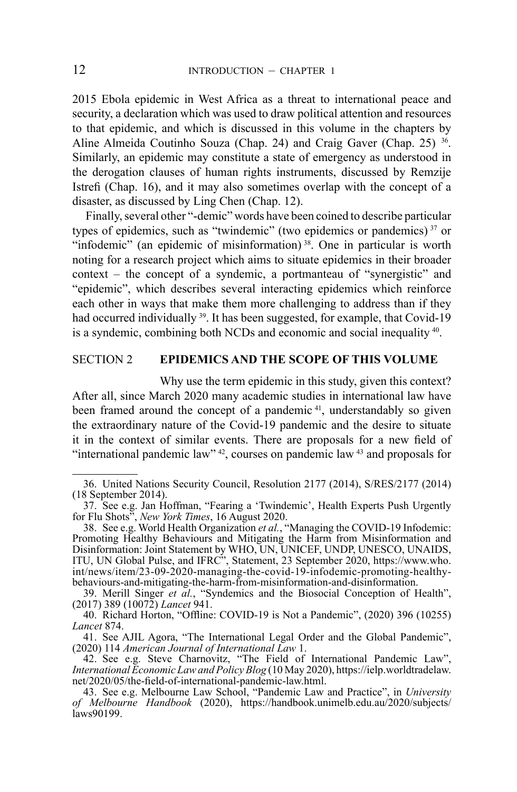2015 Ebola epidemic in West Africa as a threat to international peace and security, a declaration which was used to draw political attention and resources to that epidemic, and which is discussed in this volume in the chapters by Aline Almeida Coutinho Souza (Chap. 24) and Craig Gaver (Chap. 25) <sup>36</sup>. Similarly, an epidemic may constitute a state of emergency as understood in the derogation clauses of human rights instruments, discussed by Remzije Istrefi (Chap. 16), and it may also sometimes overlap with the concept of a disaster, as discussed by Ling Chen (Chap. 12).

Finally, several other "-demic" words have been coined to describe particular types of epidemics, such as "twindemic" (two epidemics or pandemics) 37 or "infodemic" (an epidemic of misinformation)<sup>38</sup>. One in particular is worth noting for a research project which aims to situate epidemics in their broader context – the concept of a syndemic, a portmanteau of "synergistic" and "epidemic", which describes several interacting epidemics which reinforce each other in ways that make them more challenging to address than if they had occurred individually <sup>39</sup>. It has been suggested, for example, that Covid-19 is a syndemic, combining both NCDs and economic and social inequality 40.

# SECTION 2 **EPIDEMICS AND THE SCOPE OF THIS VOLUME**

Why use the term epidemic in this study, given this context? After all, since March 2020 many academic studies in international law have been framed around the concept of a pandemic<sup>41</sup>, understandably so given the extraordinary nature of the Covid-19 pandemic and the desire to situate it in the context of similar events. There are proposals for a new field of "international pandemic law"  $42$ , courses on pandemic law  $43$  and proposals for

<sup>36.</sup> United Nations Security Council, Resolution 2177 (2014), S/RES/2177 (2014) (18 September 2014).

<sup>37.</sup> See e.g. Jan Hoffman, "Fearing a 'Twindemic', Health Experts Push Urgently for Flu Shots", *New York Times*, 16 August 2020.

<sup>38.</sup> See e.g. World Health Organization *et al.*, "Managing the COVID-19 Infodemic: Promoting Healthy Behaviours and Mitigating the Harm from Misinformation and Disinformation: Joint Statement by WHO, UN, UNICEF, UNDP, UNESCO, UNAIDS, ITU, UN Global Pulse, and IFRC", Statement, 23 September 2020, https://www.who. int/news/item/23-09-2020-managing-the-covid-19-infodemic-promoting-healthybehaviours-and-mitigating-the-harm-from-misinformation-and-disinformation.

<sup>39.</sup> Merill Singer *et al.*, "Syndemics and the Biosocial Conception of Health", (2017) 389 (10072) *Lancet* 941.

<sup>40.</sup> Richard Horton, "Offline: COVID-19 is Not a Pandemic", (2020) 396 (10255) *Lancet* 874.

<sup>41.</sup> See AJIL Agora, "The International Legal Order and the Global Pandemic", (2020) 114 *American Journal of International Law* 1.

<sup>42.</sup> See e.g. Steve Charnovitz, "The Field of International Pandemic Law", *International Economic Law and Policy Blog* (10 May 2020), https://ielp.worldtradelaw. net/2020/05/the-field-of-international-pandemic-law.html. 43. See e.g. Melbourne Law School, "Pandemic Law and Practice", in *University* 

*of Melbourne Handbook* (2020), https://handbook.unimelb.edu.au/2020/subjects/ laws90199.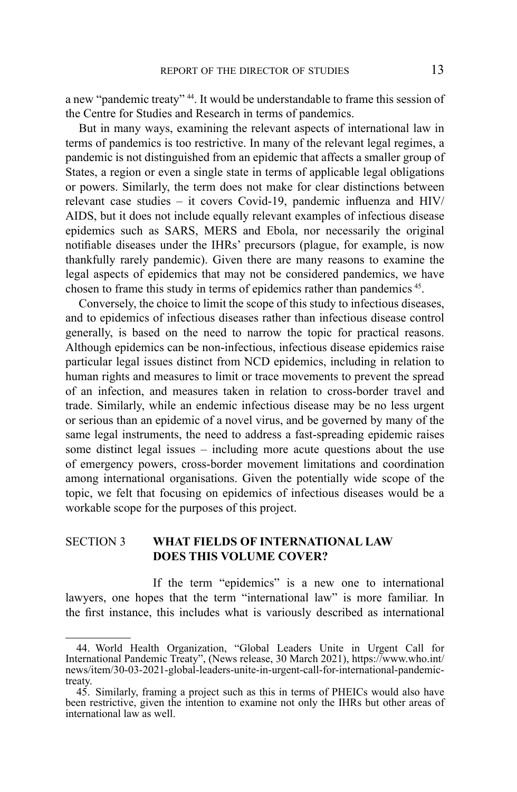a new "pandemic treaty" 44. It would be understandable to frame this session of the Centre for Studies and Research in terms of pandemics.

But in many ways, examining the relevant aspects of international law in terms of pandemics is too restrictive. In many of the relevant legal regimes, a pandemic is not distinguished from an epidemic that affects a smaller group of States, a region or even a single state in terms of applicable legal obligations or powers. Similarly, the term does not make for clear distinctions between relevant case studies – it covers Covid-19, pandemic influenza and HIV/ AIDS, but it does not include equally relevant examples of infectious disease epidemics such as SARS, MERS and Ebola, nor necessarily the original notifiable diseases under the IHRs' precursors (plague, for example, is now thankfully rarely pandemic). Given there are many reasons to examine the legal aspects of epidemics that may not be considered pandemics, we have chosen to frame this study in terms of epidemics rather than pandemics 45.

Conversely, the choice to limit the scope of this study to infectious diseases, and to epidemics of infectious diseases rather than infectious disease control generally, is based on the need to narrow the topic for practical reasons. Although epidemics can be non-infectious, infectious disease epidemics raise particular legal issues distinct from NCD epidemics, including in relation to human rights and measures to limit or trace movements to prevent the spread of an infection, and measures taken in relation to cross-border travel and trade. Similarly, while an endemic infectious disease may be no less urgent or serious than an epidemic of a novel virus, and be governed by many of the same legal instruments, the need to address a fast-spreading epidemic raises some distinct legal issues – including more acute questions about the use of emergency powers, cross-border movement limitations and coordination among international organisations. Given the potentially wide scope of the topic, we felt that focusing on epidemics of infectious diseases would be a workable scope for the purposes of this project.

### SECTION 3 **WHAT FIELDS OF INTERNATIONAL LAW DOES THIS VOLUME COVER?**

If the term "epidemics" is a new one to international lawyers, one hopes that the term "international law" is more familiar. In the first instance, this includes what is variously described as international

<sup>44.</sup> World Health Organization, "Global Leaders Unite in Urgent Call for International Pandemic Treaty", (News release, 30 March 2021), https://www.who.int/ news/item/30-03-2021-global-leaders-unite-in-urgent-call-for-international-pandemictreaty.

<sup>45.</sup> Similarly, framing a project such as this in terms of PHEICs would also have been restrictive, given the intention to examine not only the IHRs but other areas of international law as well.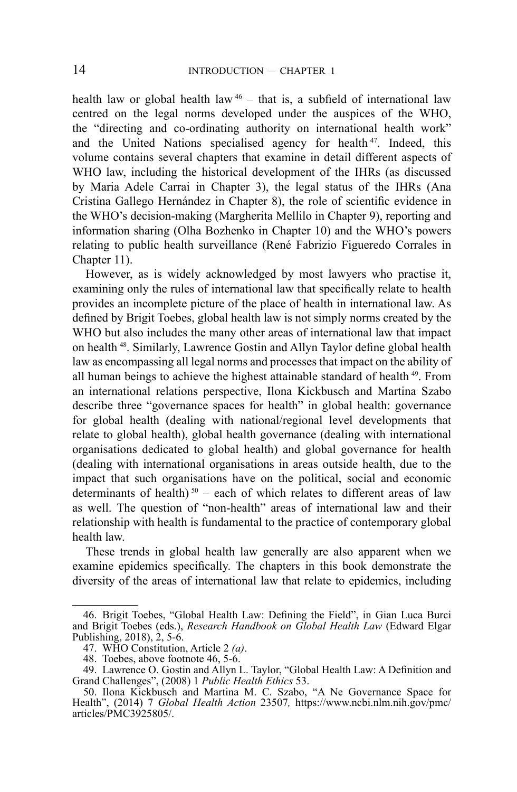health law or global health law  $46 -$  that is, a subfield of international law centred on the legal norms developed under the auspices of the WHO, the "directing and co-ordinating authority on international health work" and the United Nations specialised agency for health 47. Indeed, this volume contains several chapters that examine in detail different aspects of WHO law, including the historical development of the IHRs (as discussed by Maria Adele Carrai in Chapter 3), the legal status of the IHRs (Ana Cristina Gallego Hernández in Chapter 8), the role of scientific evidence in the WHO's decision-making (Margherita Mellilo in Chapter 9), reporting and information sharing (Olha Bozhenko in Chapter 10) and the WHO's powers relating to public health surveillance (René Fabrizio Figueredo Corrales in Chapter 11).

However, as is widely acknowledged by most lawyers who practise it, examining only the rules of international law that specifically relate to health provides an incomplete picture of the place of health in international law. As defined by Brigit Toebes, global health law is not simply norms created by the WHO but also includes the many other areas of international law that impact on health <sup>48</sup>. Similarly, Lawrence Gostin and Allyn Taylor define global health law as encompassing all legal norms and processes that impact on the ability of all human beings to achieve the highest attainable standard of health 49. From an international relations perspective, Ilona Kickbusch and Martina Szabo describe three "governance spaces for health" in global health: governance for global health (dealing with national/regional level developments that relate to global health), global health governance (dealing with international organisations dedicated to global health) and global governance for health (dealing with international organisations in areas outside health, due to the impact that such organisations have on the political, social and economic determinants of health)<sup>50</sup> – each of which relates to different areas of law as well. The question of "non-health" areas of international law and their relationship with health is fundamental to the practice of contemporary global health law.

These trends in global health law generally are also apparent when we examine epidemics specifically. The chapters in this book demonstrate the diversity of the areas of international law that relate to epidemics, including

<sup>46.</sup> Brigit Toebes, "Global Health Law: Defining the Field", in Gian Luca Burci and Brigit Toebes (eds.), *Research Handbook on Global Health Law* (Edward Elgar Publishing, 2018),  $\hat{2}$ , 5-6.<br>47. WHO Constitution, Article 2 (a).

<sup>48.</sup> Toebes, above footnote 46, 5-6.

<sup>49.</sup> Lawrence O. Gostin and Allyn L. Taylor, "Global Health Law: A Definition and Grand Challenges", (2008) 1 *Public Health Ethics* 53.

<sup>50.</sup> Ilona Kickbusch and Martina M. C. Szabo, "A Ne Governance Space for Health", (2014) 7 *Global Health Action* 23507*,* https://www.ncbi.nlm.nih.gov/pmc/ articles/PMC3925805/.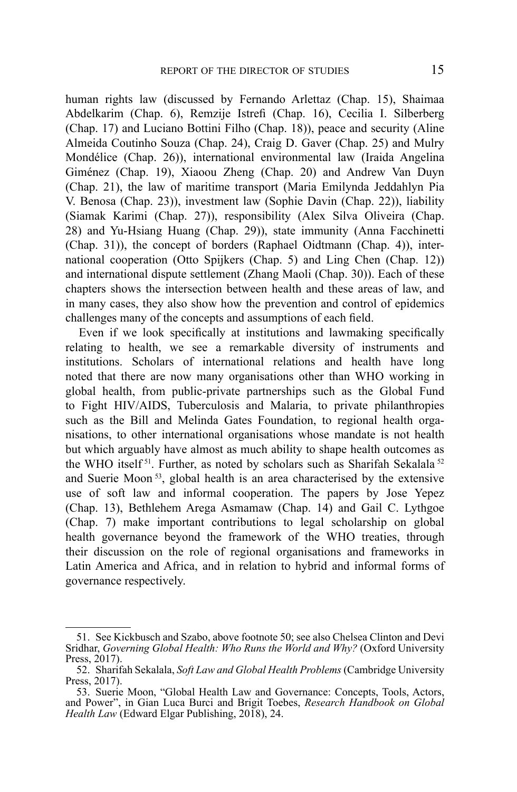human rights law (discussed by Fernando Arlettaz (Chap. 15), Shaimaa Abdelkarim (Chap. 6), Remzije Istrefi (Chap. 16), Cecilia I. Silberberg (Chap. 17) and Luciano Bottini Filho (Chap. 18)), peace and security (Aline Almeida Coutinho Souza (Chap. 24), Craig D. Gaver (Chap. 25) and Mulry Mondélice (Chap. 26)), international environmental law (Iraida Angelina Giménez (Chap. 19), Xiaoou Zheng (Chap. 20) and Andrew Van Duyn (Chap. 21), the law of maritime transport (Maria Emilynda Jeddahlyn Pia V. Benosa (Chap. 23)), investment law (Sophie Davin (Chap. 22)), liability (Siamak Karimi (Chap. 27)), responsibility (Alex Silva Oliveira (Chap. 28) and Yu-Hsiang Huang (Chap. 29)), state immunity (Anna Facchinetti (Chap. 31)), the concept of borders (Raphael Oidtmann (Chap. 4)), international cooperation (Otto Spijkers (Chap. 5) and Ling Chen (Chap. 12)) and international dispute settlement (Zhang Maoli (Chap. 30)). Each of these chapters shows the intersection between health and these areas of law, and in many cases, they also show how the prevention and control of epidemics challenges many of the concepts and assumptions of each field.

Even if we look specifically at institutions and lawmaking specifically relating to health, we see a remarkable diversity of instruments and institutions. Scholars of international relations and health have long noted that there are now many organisations other than WHO working in global health, from public-private partnerships such as the Global Fund to Fight HIV/AIDS, Tuberculosis and Malaria, to private philanthropies such as the Bill and Melinda Gates Foundation, to regional health organisations, to other international organisations whose mandate is not health but which arguably have almost as much ability to shape health outcomes as the WHO itself<sup>51</sup>. Further, as noted by scholars such as Sharifah Sekalala<sup>52</sup> and Suerie Moon 53, global health is an area characterised by the extensive use of soft law and informal cooperation. The papers by Jose Yepez (Chap. 13), Bethlehem Arega Asmamaw (Chap. 14) and Gail C. Lythgoe (Chap. 7) make important contributions to legal scholarship on global health governance beyond the framework of the WHO treaties, through their discussion on the role of regional organisations and frameworks in Latin America and Africa, and in relation to hybrid and informal forms of governance respectively.

<sup>51.</sup> See Kickbusch and Szabo, above footnote 50; see also Chelsea Clinton and Devi Sridhar, *Governing Global Health: Who Runs the World and Why?* (Oxford University Press, 2017).

<sup>52.</sup> Sharifah Sekalala, *Soft Law and Global Health Problems* (Cambridge University Press, 2017).

<sup>53.</sup> Suerie Moon, "Global Health Law and Governance: Concepts, Tools, Actors, and Power", in Gian Luca Burci and Brigit Toebes, *Research Handbook on Global Health Law* (Edward Elgar Publishing, 2018), 24.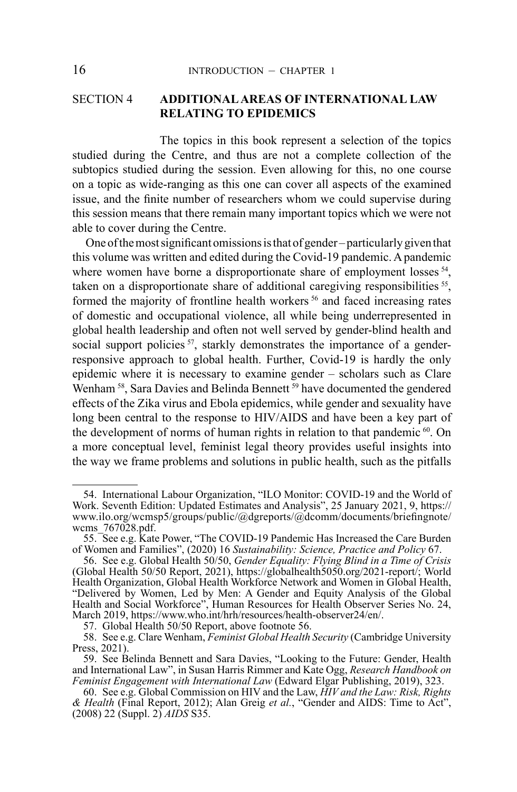## SECTION 4 **ADDITIONAL AREAS OF INTERNATIONAL LAW RELATING TO EPIDEMICS**

The topics in this book represent a selection of the topics studied during the Centre, and thus are not a complete collection of the subtopics studied during the session. Even allowing for this, no one course on a topic as wide-ranging as this one can cover all aspects of the examined issue, and the finite number of researchers whom we could supervise during this session means that there remain many important topics which we were not able to cover during the Centre.

One of the most significant omissions is that of gender – particularly given that this volume was written and edited during the Covid-19 pandemic. A pandemic where women have borne a disproportionate share of employment losses <sup>54</sup>, taken on a disproportionate share of additional caregiving responsibilities <sup>55</sup>, formed the majority of frontline health workers<sup>56</sup> and faced increasing rates of domestic and occupational violence, all while being underrepresented in global health leadership and often not well served by gender-blind health and social support policies <sup>57</sup>, starkly demonstrates the importance of a genderresponsive approach to global health. Further, Covid-19 is hardly the only epidemic where it is necessary to examine gender – scholars such as Clare Wenham<sup>58</sup>, Sara Davies and Belinda Bennett<sup>59</sup> have documented the gendered effects of the Zika virus and Ebola epidemics, while gender and sexuality have long been central to the response to HIV/AIDS and have been a key part of the development of norms of human rights in relation to that pandemic  $60$ . On a more conceptual level, feminist legal theory provides useful insights into the way we frame problems and solutions in public health, such as the pitfalls

<sup>54.</sup> International Labour Organization, "ILO Monitor: COVID-19 and the World of Work. Seventh Edition: Updated Estimates and Analysis", 25 January 2021, 9, https:// www.ilo.org/wcmsp5/groups/public/@dgreports/@dcomm/documents/briefingnote/ wcms\_767028.pdf.

<sup>55.</sup> See e.g. Kate Power, "The COVID-19 Pandemic Has Increased the Care Burden of Women and Families", (2020) 16 *Sustainability: Science, Practice and Policy* 67.

<sup>56.</sup> See e.g. Global Health 50/50, *Gender Equality: Flying Blind in a Time of Crisis*  (Global Health 50/50 Report, 2021), https://globalhealth5050.org/2021-report/; World Health Organization, Global Health Workforce Network and Women in Global Health, "Delivered by Women, Led by Men: A Gender and Equity Analysis of the Global Health and Social Workforce", Human Resources for Health Observer Series No. 24, March 2019, https://www.who.int/hrh/resources/health-observer24/en/. 57. Global Health 50/50 Report, above footnote 56.

<sup>58.</sup> See e.g. Clare Wenham, *Feminist Global Health Security* (Cambridge University Press, 2021).

<sup>59.</sup> See Belinda Bennett and Sara Davies, "Looking to the Future: Gender, Health and International Law", in Susan Harris Rimmer and Kate Ogg, *Research Handbook on Feminist Engagement with International Law* (Edward Elgar Publishing, 2019), 323.

<sup>60.</sup> See e.g. Global Commission on HIV and the Law, *HIV and the Law: Risk, Rights & Health* (Final Report, 2012); Alan Greig *et al.*, "Gender and AIDS: Time to Act", (2008) 22 (Suppl. 2) *AIDS* S35.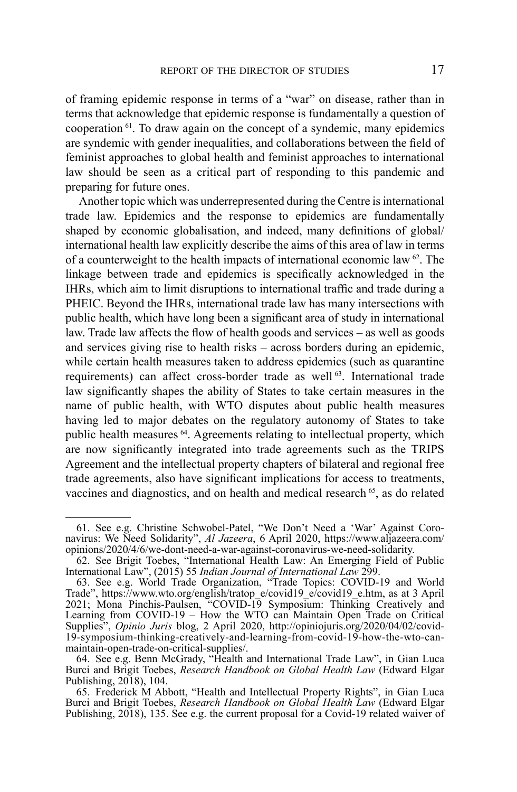of framing epidemic response in terms of a "war" on disease, rather than in terms that acknowledge that epidemic response is fundamentally a question of cooperation 61. To draw again on the concept of a syndemic, many epidemics are syndemic with gender inequalities, and collaborations between the field of feminist approaches to global health and feminist approaches to international law should be seen as a critical part of responding to this pandemic and preparing for future ones.

Another topic which was underrepresented during the Centre is international trade law. Epidemics and the response to epidemics are fundamentally shaped by economic globalisation, and indeed, many definitions of global/ international health law explicitly describe the aims of this area of law in terms of a counterweight to the health impacts of international economic law  $62$ . The linkage between trade and epidemics is specifically acknowledged in the IHRs, which aim to limit disruptions to international traffic and trade during a PHEIC. Beyond the IHRs, international trade law has many intersections with public health, which have long been a significant area of study in international law. Trade law affects the flow of health goods and services – as well as goods and services giving rise to health risks – across borders during an epidemic, while certain health measures taken to address epidemics (such as quarantine requirements) can affect cross-border trade as well<sup>63</sup>. International trade law significantly shapes the ability of States to take certain measures in the name of public health, with WTO disputes about public health measures having led to major debates on the regulatory autonomy of States to take public health measures 64. Agreements relating to intellectual property, which are now significantly integrated into trade agreements such as the TRIPS Agreement and the intellectual property chapters of bilateral and regional free trade agreements, also have significant implications for access to treatments, vaccines and diagnostics, and on health and medical research <sup>65</sup>, as do related

<sup>61.</sup> See e.g. Christine Schwobel-Patel, "We Don't Need a 'War' Against Coronavirus: We Need Solidarity", *Al Jazeera*, 6 April 2020, https://www.aljazeera.com/ opinions/2020/4/6/we-dont-need-a-war-against-coronavirus-we-need-solidarity.

<sup>62.</sup> See Brigit Toebes, "International Health Law: An Emerging Field of Public International Law", (2015) 55 *Indian Journal of International Law* 299.

<sup>63.</sup> See e.g. World Trade Organization, "Trade Topics: COVID-19 and World Trade", https://www.wto.org/english/tratop\_e/covid19\_e/covid19\_e.htm, as at 3 April 2021; Mona Pinchis-Paulsen, "COVID-19 Symposium: Thinking Creatively and Learning from COVID-19 – How the WTO can Maintain Open Trade on Critical Supplies", *Opinio Juris* blog, 2 April 2020, http://opiniojuris.org/2020/04/02/covid-19-symposium-thinking-creatively-and-learning-from-covid-19-how-the-wto-can-

maintain-open-trade-on-critical-supplies/. 64. See e.g. Benn McGrady, "Health and International Trade Law", in Gian Luca Burci and Brigit Toebes, *Research Handbook on Global Health Law* (Edward Elgar Publishing, 2018), 104.

<sup>65.</sup> Frederick M Abbott, "Health and Intellectual Property Rights", in Gian Luca Burci and Brigit Toebes, *Research Handbook on Global Health Law* (Edward Elgar Publishing, 2018), 135. See e.g. the current proposal for a Covid-19 related waiver of